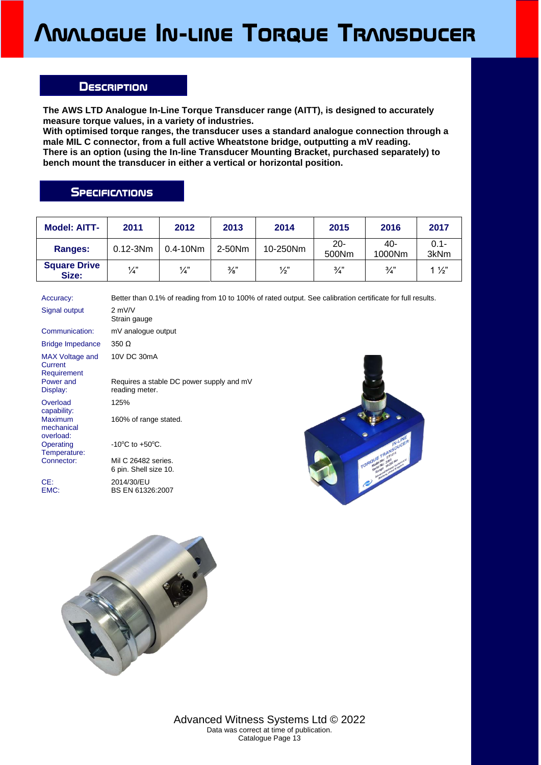## **Analogue In-line Torque Transducer**

## **Description**

**The AWS LTD Analogue In-Line Torque Transducer range (AITT), is designed to accurately measure torque values, in a variety of industries.**

**With optimised torque ranges, the transducer uses a standard analogue connection through a male MIL C connector, from a full active Wheatstone bridge, outputting a mV reading. There is an option (using the In-line Transducer Mounting Bracket, purchased separately) to bench mount the transducer in either a vertical or horizontal position.**

## **SPECIFICATIONS**

| <b>Model: AITT-</b>          | 2011         | 2012          | 2013          | 2014          | 2015            | 2016          | 2017            |
|------------------------------|--------------|---------------|---------------|---------------|-----------------|---------------|-----------------|
| Ranges:                      | $0.12 - 3Nm$ | $0.4 - 10$ Nm | 2-50Nm        | 10-250Nm      | $20 -$<br>500Nm | 40-<br>1000Nm | $0.1 -$<br>3kNm |
| <b>Square Drive</b><br>Size: | 1⁄4"         | $\frac{1}{4}$ | $\frac{3}{8}$ | $\frac{1}{2}$ | $\frac{3}{4}$   | $\frac{3}{4}$ | $1\frac{1}{2}$  |

| Accuracy:                                 | Better than 0.1% of reading from 10 to 100% of rated output. See calibration certificate for full results. |
|-------------------------------------------|------------------------------------------------------------------------------------------------------------|
| Signal output                             | $2$ mV/V<br>Strain gauge                                                                                   |
| Communication:                            | mV analogue output                                                                                         |
| <b>Bridge Impedance</b>                   | $350 \Omega$                                                                                               |
| MAX Voltage and<br>Current<br>Requirement | 10V DC 30mA                                                                                                |
| Power and<br>Display:                     | Requires a stable DC power supply and mV<br>reading meter.                                                 |
| Overload<br>capability:                   | 125%                                                                                                       |
| <b>Maximum</b><br>mechanical<br>overload: | 160% of range stated.                                                                                      |
| Operating<br>Temperature:                 | $-10^{\circ}$ C to $+50^{\circ}$ C.                                                                        |
| Connector:                                | Mil C 26482 series.<br>6 pin. Shell size 10.                                                               |
| CE:<br>EMC:                               | 2014/30/EU<br>BS EN 61326:2007                                                                             |





Advanced Witness Systems Ltd © 2022 Data was correct at time of publication. Catalogue Page 13